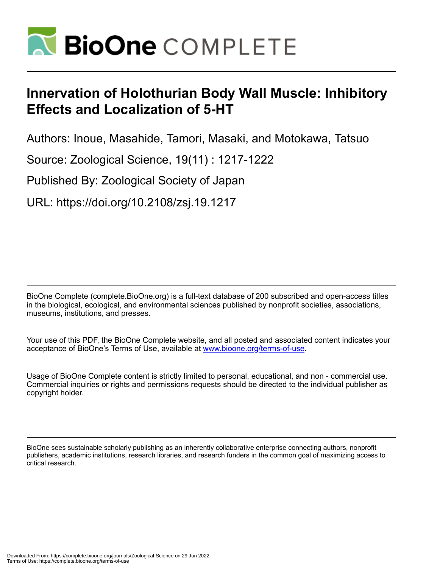

# **Innervation of Holothurian Body Wall Muscle: Inhibitory Effects and Localization of 5-HT**

Authors: Inoue, Masahide, Tamori, Masaki, and Motokawa, Tatsuo

Source: Zoological Science, 19(11) : 1217-1222

Published By: Zoological Society of Japan

URL: https://doi.org/10.2108/zsj.19.1217

BioOne Complete (complete.BioOne.org) is a full-text database of 200 subscribed and open-access titles in the biological, ecological, and environmental sciences published by nonprofit societies, associations, museums, institutions, and presses.

Your use of this PDF, the BioOne Complete website, and all posted and associated content indicates your acceptance of BioOne's Terms of Use, available at www.bioone.org/terms-of-use.

Usage of BioOne Complete content is strictly limited to personal, educational, and non - commercial use. Commercial inquiries or rights and permissions requests should be directed to the individual publisher as copyright holder.

BioOne sees sustainable scholarly publishing as an inherently collaborative enterprise connecting authors, nonprofit publishers, academic institutions, research libraries, and research funders in the common goal of maximizing access to critical research.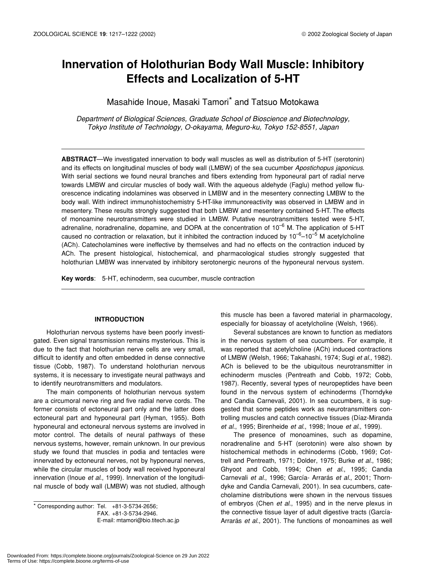## **Innervation of Holothurian Body Wall Muscle: Inhibitory Effects and Localization of 5-HT**

### Masahide Inoue, Masaki Tamori\* and Tatsuo Motokawa

*Department of Biological Sciences, Graduate School of Bioscience and Biotechnology, Tokyo Institute of Technology, O-okayama, Meguro-ku, Tokyo 152-8551, Japan*

**ABSTRACT**—We investigated innervation to body wall muscles as well as distribution of 5-HT (serotonin) and its effects on longitudinal muscles of body wall (LMBW) of the sea cucumber *Apostichopus japonicus*. With serial sections we found neural branches and fibers extending from hyponeural part of radial nerve towards LMBW and circular muscles of body wall. With the aqueous aldehyde (Faglu) method yellow fluorescence indicating indolamines was observed in LMBW and in the mesentery connecting LMBW to the body wall. With indirect immunohistochemistry 5-HT-like immunoreactivity was observed in LMBW and in mesentery. These results strongly suggested that both LMBW and mesentery contained 5-HT. The effects of monoamine neurotransmitters were studied in LMBW. Putative neurotransmitters tested were 5-HT, adrenaline, noradrenaline, dopamine, and DOPA at the concentration of  $10^{-6}$  M. The application of 5-HT caused no contraction or relaxation, but it inhibited the contraction induced by  $10^{-6}$ –10<sup>-5</sup> M acetylcholine (ACh). Catecholamines were ineffective by themselves and had no effects on the contraction induced by ACh. The present histological, histochemical, and pharmacological studies strongly suggested that holothurian LMBW was innervated by inhibitory serotonergic neurons of the hyponeural nervous system.

**Key words**: 5-HT, echinoderm, sea cucumber, muscle contraction

#### **INTRODUCTION**

Holothurian nervous systems have been poorly investigated. Even signal transmission remains mysterious. This is due to the fact that holothurian nerve cells are very small, difficult to identify and often embedded in dense connective tissue (Cobb, 1987). To understand holothurian nervous systems, it is necessary to investigate neural pathways and to identify neurotransmitters and modulators.

The main components of holothurian nervous system are a circumoral nerve ring and five radial nerve cords. The former consists of ectoneural part only and the latter does ectoneural part and hyponeural part (Hyman, 1955). Both hyponeural and ectoneural nervous systems are involved in motor control. The details of neural pathways of these nervous systems, however, remain unknown. In our previous study we found that muscles in podia and tentacles were innervated by ectoneural nerves, not by hyponeural nerves, while the circular muscles of body wall received hyponeural innervation (Inoue *et al*., 1999). Innervation of the longitudinal muscle of body wall (LMBW) was not studied, although

 $*$  Corresponding author: Tel.  $+81-3-5734-2656$ ; FAX. +81-3-5734-2946. E-mail: mtamori@bio.titech.ac.jp this muscle has been a favored material in pharmacology, especially for bioassay of acetylcholine (Welsh, 1966).

Several substances are known to function as mediators in the nervous system of sea cucumbers. For example, it was reported that acetylcholine (ACh) induced contractions of LMBW (Welsh, 1966; Takahashi, 1974; Sugi *et al*., 1982). ACh is believed to be the ubiquitous neurotransmitter in echinoderm muscles (Pentreath and Cobb, 1972; Cobb, 1987). Recently, several types of neuropeptides have been found in the nervous system of echinoderms (Thorndyke and Candia Carnevali, 2001). In sea cucumbers, it is suggested that some peptides work as neurotransmitters controlling muscles and catch connective tissues (Díaz-Miranda *et al*., 1995; Birenheide *et al*., 1998; Inoue *et al*., 1999).

The presence of monoamines, such as dopamine, noradrenaline and 5-HT (serotonin) were also shown by histochemical methods in echinoderms (Cobb, 1969; Cottrell and Pentreath, 1971; Dolder, 1975; Burke *et al*., 1986; Ghyoot and Cobb, 1994; Chen *et al*., 1995; Candia Carnevali *et al*., 1996; García- Arrarás *et al*., 2001; Thorndyke and Candia Carnevali, 2001). In sea cucumbers, catecholamine distributions were shown in the nervous tissues of embryos (Chen *et al*., 1995) and in the nerve plexus in the connective tissue layer of adult digestive tracts (García-Arrarás *et al*., 2001). The functions of monoamines as well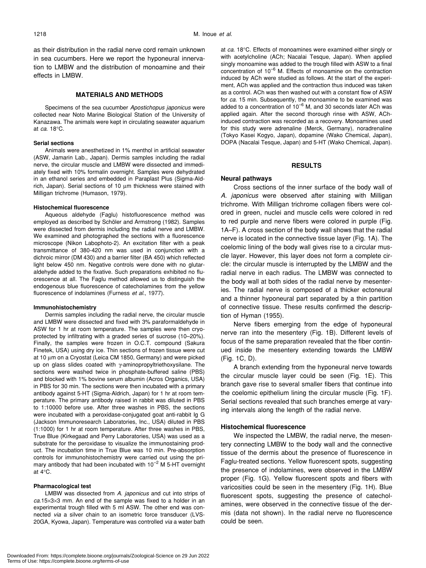as their distribution in the radial nerve cord remain unknown in sea cucumbers. Here we report the hyponeural innervation to LMBW and the distribution of monoamine and their effects in LMBW.

#### **MATERIALS AND METHODS**

Specimens of the sea cucumber *Apostichopus japonicus* were collected near Noto Marine Biological Station of the University of Kanazawa. The animals were kept in circulating seawater aquarium at *ca*. 18°C.

#### **Serial sections**

Animals were anesthetized in 1% menthol in artificial seawater (ASW, Jamarin Lab., Japan). Dermis samples including the radial nerve, the circular muscle and LMBW were dissected and immediately fixed with 10% formalin overnight. Samples were dehydrated in an ethanol series and embedded in Paraplast Plus (Sigma-Aldrich, Japan). Serial sections of 10 µm thickness were stained with Milligan trichrome (Humason, 1979).

#### **Histochemical fluorescence**

Aqueous aldehyde (Faglu) histofluorescence method was employed as described by Schöler and Armstrong (1982). Samples were dissected from dermis including the radial nerve and LMBW. We examined and photographed the sections with a fluorescence microscope (Nikon Labophoto-2). An excitation filter with a peak transmittance of 380-420 nm was used in conjunction with a dichroic mirror (DM 430) and a barrier filter (BA 450) which reflected light below 450 nm. Negative controls were done with no glutaraldehyde added to the fixative. Such preparations exhibited no fluorescence at all. The Faglu method allowed us to distinguish the endogenous blue fluorescence of catecholamines from the yellow fluorescence of indolamines (Furness *et al*., 1977).

#### **Immunohistochemistry**

Dermis samples including the radial nerve, the circular muscle and LMBW were dissected and fixed with 3% paraformaldehyde in ASW for 1 hr at room temperature. The samples were then cryoprotected by infiltrating with a graded series of sucrose (10–20%). Finally, the samples were frozen in O.C.T. compound (Sakura Finetek, USA) using dry ice. Thin sections of frozen tissue were cut at 10 µm on a Cryostat (Leica CM 1850, Germany) and were picked up on glass slides coated with γ-aminopropyltriethoxysilane. The sections were washed twice in phosphate-buffered saline (PBS) and blocked with 1% bovine serum albumin (Acros Organics, USA) in PBS for 30 min. The sections were then incubated with a primary antibody against 5-HT (Sigma-Aldrich, Japan) for 1 hr at room temperature. The primary antibody raised in rabbit was diluted in PBS to 1:10000 before use. After three washes in PBS, the sections were incubated with a peroxidase-conjugated goat anti-rabbit Ig G (Jackson Immunoresearch Laboratories, Inc., USA) diluted in PBS (1:1000) for 1 hr at room temperature. After three washes in PBS, True Blue (Kirkegaad and Perry Laboratories, USA) was used as a substrate for the peroxidase to visualize the immunostaining product. The incubation time in True Blue was 10 min. Pre-absorption controls for immunohistochemistry were carried out using the primary antibody that had been incubated with 10<sup>-2</sup> M 5-HT overnight at 4°C.

#### **Pharmacological test**

LMBW was dissected from *A. japonicus* and cut into strips of *ca*.15×3×3 mm. An end of the sample was fixed to a holder in an experimental trough filled with 5 ml ASW. The other end was connected *via* a silver chain to an isometric force transducer (LVS-20GA, Kyowa, Japan). Temperature was controlled *via* a water bath at *ca*. 18°C. Effects of monoamines were examined either singly or with acetylcholine (ACh; Nacalai Tesque, Japan). When applied singly monoamine was added to the trough filled with ASW to a final concentration of 10–6 M. Effects of monoamine on the contraction induced by ACh were studied as follows. At the start of the experiment, ACh was applied and the contraction thus induced was taken as a control. ACh was then washed out with a constant flow of ASW for *ca*. 15 min. Subsequently, the monoamine to be examined was added to a concentration of  $10^{-6}$  M, and 30 seconds later ACh was applied again. After the second thorough rinse with ASW, AChinduced contraction was recorded as a recovery. Monoamines used for this study were adrenaline (Merck, Germany), noradrenaline (Tokyo Kasei Kogyo, Japan), dopamine (Wako Chemical, Japan), DOPA (Nacalai Tesque, Japan) and 5-HT (Wako Chemical, Japan).

#### **RESULTS**

#### **Neural pathways**

Cross sections of the inner surface of the body wall of *A. japonicus* were observed after staining with Milligan trichrome. With Milligan trichrome collagen fibers were colored in green, nuclei and muscle cells were colored in red to red purple and nerve fibers were colored in purple (Fig. 1A–F). A cross section of the body wall shows that the radial nerve is located in the connective tissue layer (Fig. 1A). The coelomic lining of the body wall gives rise to a circular muscle layer. However, this layer does not form a complete circle: the circular muscle is interrupted by the LMBW and the radial nerve in each radius. The LMBW was connected to the body wall at both sides of the radial nerve by mesenteries. The radial nerve is composed of a thicker ectoneural and a thinner hyponeural part separated by a thin partition of connective tissue. These results confirmed the description of Hyman (1955).

Nerve fibers emerging from the edge of hyponeural nerve ran into the mesentery (Fig. 1B). Different levels of focus of the same preparation revealed that the fiber continued inside the mesentery extending towards the LMBW (Fig. 1C, D).

A branch extending from the hyponeural nerve towards the circular muscle layer could be seen (Fig. 1E). This branch gave rise to several smaller fibers that continue into the coelomic epithelium lining the circular muscle (Fig. 1F). Serial sections revealed that such branches emerge at varying intervals along the length of the radial nerve.

#### **Histochemical fluorescence**

We inspected the LMBW, the radial nerve, the mesentery connecting LMBW to the body wall and the connective tissue of the dermis about the presence of fluorescence in Faglu-treated sections. Yellow fluorescent spots, suggesting the presence of indolamines, were observed in the LMBW proper (Fig. 1G). Yellow fluorescent spots and fibers with varicosities could be seen in the mesentery (Fig. 1H). Blue fluorescent spots, suggesting the presence of catecholamines, were observed in the connective tissue of the dermis (data not shown). In the radial nerve no fluorescence could be seen.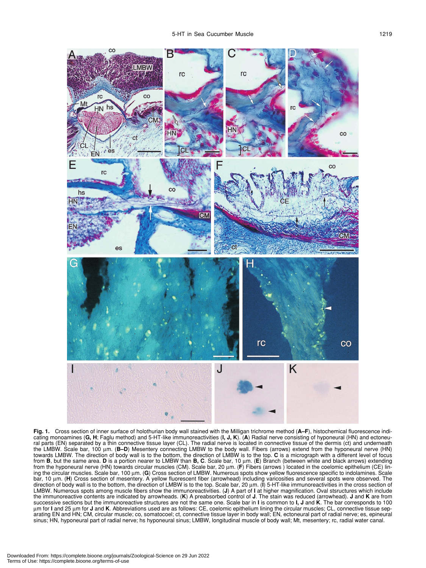

**Fig. 1.** Cross section of inner surface of holothurian body wall stained with the Milligan trichrome method (**A–F**), histochemical fluorescence indicating monoamines (**G, H**; Faglu method) and 5-HT-like immunoreactivities (**I, J, K**). (**A**) Radial nerve consisting of hyponeural (HN) and ectoneural parts (EN) separated by a thin connective tissue layer (CL). The radial nerve is located in connective tissue of the dermis (ct) and underneath<br>the LMBW. Scale bar, 100 μm. (**B–D**) Mesentery connecting LMBW to the bod towards LMBW. The direction of body wall is to the bottom, the direction of LMBW is to the top. **C** is a micrograph with a different level of focus<br>from **B**, but the same area. **D** is a portion nearer to LMBW than **B, C**. from the hyponeural nerve (HN) towards circular muscles (CM). Scale bar, 20 µm. (**F**) Fibers (arrows ) located in the coelomic epithelium (CE) lining the circular muscles. Scale bar, 100 µm. (**G**) Cross section of LMBW. Numerous spots show yellow fluorescence specific to indolamines. Scale bar, 10 µm. (**H**) Cross section of mesentery. A yellow fluorescent fiber (arrowhead) including varicosities and several spots were observed. The direction of body wall is to the bottom, the direction of LMBW is to the top. Scale bar, 20 µm. (**I**) 5-HT-like immunoreactivities in the cross section of LMBW. Numerous spots among muscle fibers show the immunoreactivities. (**J**) A part of **I** at higher magnification. Oval stsructures which include the immunoreactive contents are indicated by arrowheads. (**K**) A preabsorbed control of **J**. The stain was reduced (arrowhead). **J** and **K** are from successive sections but the immunoreactive structures are not the same one. Scale bar in **I** is common to **I, J** and **K**. The bar corresponds to 100 µm for **I** and 25 µm for **J** and **K**. Abbreviations used are as follows: CE, coelomic epithelium lining the circular muscles; CL, connective tissue separating EN and HN; CM, circular muscle; co, somatocoel; ct, connective tissue layer in body wall; EN, ectoneural part of radial nerve; es, epineural sinus; HN, hyponeural part of radial nerve; hs hyponeural sinus; LMBW, longitudinal muscle of body wall; Mt, mesentery; rc, radial water canal.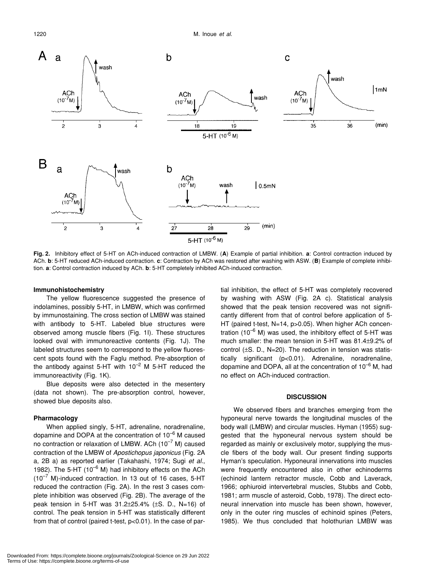

**Fig. 2.** Inhibitory effect of 5-HT on ACh-induced contraction of LMBW. (**A**) Example of partial inhibition. **a**: Control contraction induced by ACh. **b**: 5-HT reduced ACh-induced contraction. **c**: Contraction by ACh was restored after washing with ASW. (**B**) Example of complete inhibition. **a**: Control contraction induced by ACh. **b**: 5-HT completely inhibited ACh-induced contraction.

#### **Immunohistochemistry**

The yellow fluorescence suggested the presence of indolamines, possibly 5-HT, in LMBW, which was confirmed by immunostaining. The cross section of LMBW was stained with antibody to 5-HT. Labeled blue structures were observed among muscle fibers (Fig. 1I). These structures looked oval with immunoreactive contents (Fig. 1J). The labeled structures seem to correspond to the yellow fluorescent spots found with the Faglu method. Pre-absorption of the antibody against 5-HT with  $10^{-2}$  M 5-HT reduced the immunoreactivity (Fig. 1K).

Blue deposits were also detected in the mesentery (data not shown). The pre-absorption control, however, showed blue deposits also.

#### **Pharmacology**

When applied singly, 5-HT, adrenaline, noradrenaline, dopamine and DOPA at the concentration of  $10^{-6}$  M caused no contraction or relaxation of LMBW. ACh  $(10^{-7}$  M) caused contraction of the LMBW of *Apostichopus japonicus* (Fig. 2A a, 2B a) as reported earlier (Takahashi, 1974; Sugi *et al.*, 1982). The 5-HT (10 $^{-6}$  M) had inhibitory effects on the ACh  $(10^{-7}$  M)-induced contraction. In 13 out of 16 cases, 5-HT reduced the contraction (Fig. 2A). In the rest 3 cases complete inhibition was observed (Fig. 2B). The average of the peak tension in 5-HT was 31.2±25.4% (±S. D., N=16) of control. The peak tension in 5-HT was statistically different from that of control (paired t-test, p<0.01). In the case of partial inhibition, the effect of 5-HT was completely recovered by washing with ASW (Fig. 2A c). Statistical analysis showed that the peak tension recovered was not significantly different from that of control before application of 5- HT (paired t-test, N=14, p>0.05). When higher ACh concentration ( $10^{-6}$  M) was used, the inhibitory effect of 5-HT was much smaller: the mean tension in 5-HT was 81.4±9.2% of control (±S. D., N=20). The reduction in tension was statistically significant (p<0.01). Adrenaline, noradrenaline, dopamine and DOPA, all at the concentration of  $10^{-6}$  M, had no effect on ACh-induced contraction.

#### **DISCUSSION**

We observed fibers and branches emerging from the hyponeural nerve towards the longitudinal muscles of the body wall (LMBW) and circular muscles. Hyman (1955) suggested that the hyponeural nervous system should be regarded as mainly or exclusively motor, supplying the muscle fibers of the body wall. Our present finding supports Hyman's speculation. Hyponeural innervations into muscles were frequently encountered also in other echinoderms (echinoid lantern retractor muscle, Cobb and Laverack, 1966; ophiuroid intervertebral muscles, Stubbs and Cobb, 1981; arm muscle of asteroid, Cobb, 1978). The direct ectoneural innervation into muscle has been shown, however, only in the outer ring muscles of echinoid spines (Peters, 1985). We thus concluded that holothurian LMBW was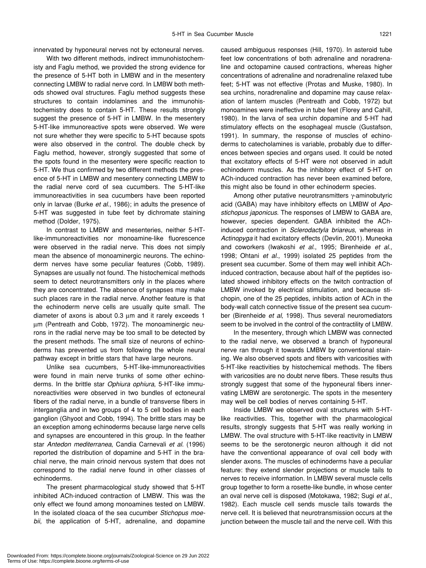innervated by hyponeural nerves not by ectoneural nerves.

With two different methods, indirect immunohistochemisty and Faglu method, we provided the strong evidence for the presence of 5-HT both in LMBW and in the mesentery connecting LMBW to radial nerve cord. In LMBW both methods showed oval structures. Faglu method suggests these structures to contain indolamines and the immunohistochemistry does to contain 5-HT. These results strongly suggest the presence of 5-HT in LMBW. In the mesentery 5-HT-like immunoreactive spots were observed. We were not sure whether they were specific to 5-HT because spots were also observed in the control. The double check by Faglu method, however, strongly suggested that some of the spots found in the mesentery were specific reaction to 5-HT. We thus confirmed by two different methods the presence of 5-HT in LMBW and mesentery connecting LMBW to the radial nerve cord of sea cucumbers. The 5-HT-like immunoreactivities in sea cucumbers have been reported only in larvae (Burke *et al*., 1986); in adults the presence of 5-HT was suggested in tube feet by dichromate staining method (Dolder, 1975).

In contrast to LMBW and mesenteries, neither 5-HTlike-immunoreactivities nor monoamine-like fluorescence were observed in the radial nerve. This does not simply mean the absence of monoaminergic neurons. The echinoderm nerves have some peculiar features (Cobb, 1989). Synapses are usually not found. The histochemical methods seem to detect neurotransmitters only in the places where they are concentrated. The absence of synapses may make such places rare in the radial nerve. Another feature is that the echinoderm nerve cells are usually quite small. The diameter of axons is about 0.3 µm and it rarely exceeds 1 µm (Pentreath and Cobb, 1972). The monoaminergic neurons in the radial nerve may be too small to be detected by the present methods. The small size of neurons of echinoderms has prevented us from following the whole neural pathway except in brittle stars that have large neurons.

Unlike sea cucumbers, 5-HT-like-immunoreactivities were found in main nerve trunks of some other echinoderms. In the brittle star *Ophiura ophiura*, 5-HT-like immunoreactivities were observed in two bundles of ectoneural fibers of the radial nerve, in a bundle of transverse fibers in interganglia and in two groups of 4 to 5 cell bodies in each ganglion (Ghyoot and Cobb, 1994). The brittle stars may be an exception among echinoderms because large nerve cells and synapses are encountered in this group. In the feather star *Antedon mediterranea*, Candia Carnevali *et al*. (1996) reported the distribution of dopamine and 5-HT in the brachial nerve, the main crinoid nervous system that does not correspond to the radial nerve found in other classes of echinoderms.

The present pharmacological study showed that 5-HT inhibited ACh-induced contraction of LMBW. This was the only effect we found among monoamines tested on LMBW. In the isolated cloaca of the sea cucumber *Stichopus moebii*, the application of 5-HT, adrenaline, and dopamine caused ambiguous responses (Hill, 1970). In asteroid tube feet low concentrations of both adrenaline and noradrenaline and octopamine caused contractions, whereas higher concentrations of adrenaline and noradrenaline relaxed tube feet; 5-HT was not effective (Protas and Muske, 1980). In sea urchins, noradrenaline and dopamine may cause relaxation of lantern muscles (Pentreath and Cobb, 1972) but monoamines were ineffective in tube feet (Florey and Cahill, 1980). In the larva of sea urchin dopamine and 5-HT had stimulatory effects on the esophageal muscle (Gustafson, 1991). In summary, the response of muscles of echinoderms to catecholamines is variable, probably due to differences between species and organs used. It could be noted that excitatory effects of 5-HT were not observed in adult echinoderm muscles. As the inhibitory effect of 5-HT on ACh-induced contraction has never been examined before, this might also be found in other echinoderm species.

Among other putative neurotransmitters γ-aminobutyric acid (GABA) may have inhibitory effects on LMBW of *Apostichopus japonicus*. The responses of LMBW to GABA are, however, species dependent. GABA inhibited the AChinduced contraction in *Sclerodactyla briareus*, whereas in *Actinopyga* it had excitatory effects (Devlin, 2001). Muneoka and coworkers (Iwakoshi *et al*., 1995; Birenheide *et al*., 1998; Ohtani *et al*., 1999) isolated 25 peptides from the present sea cucumber. Some of them may well inhibit AChinduced contraction, because about half of the peptides isolated showed inhibitory effects on the twitch contraction of LMBW invoked by electrical stimulation, and because stichopin, one of the 25 peptides, inhibits action of ACh in the body-wall catch connective tissue of the present sea cucumber (Birenheide *et al*, 1998). Thus several neuromediators seem to be involved in the control of the contractility of LMBW.

In the mesentery, through which LMBW was connected to the radial nerve, we observed a branch of hyponeural nerve ran through it towards LMBW by conventional staining. We also observed spots and fibers with varicosities with 5-HT-like reactivities by histochemical methods. The fibers with varicosities are no doubt nerve fibers. These results thus strongly suggest that some of the hyponeural fibers innervating LMBW are serotonergic. The spots in the mesentery may well be cell bodies of nerves containing 5-HT.

Inside LMBW we observed oval structures with 5-HTlike reactivities. This, together with the pharmacological results, strongly suggests that 5-HT was really working in LMBW. The oval structure with 5-HT-like reactivity in LMBW seems to be the serotonergic neuron although it did not have the conventional appearance of oval cell body with slender axons. The muscles of echinoderms have a peculiar feature: they extend slender projections or muscle tails to nerves to receive information. In LMBW several muscle cells group together to form a rosette-like bundle, in whose center an oval nerve cell is disposed (Motokawa, 1982; Sugi *et al*., 1982). Each muscle cell sends muscle tails towards the nerve cell. It is believed that neurotransmission occurs at the junction between the muscle tail and the nerve cell. With this